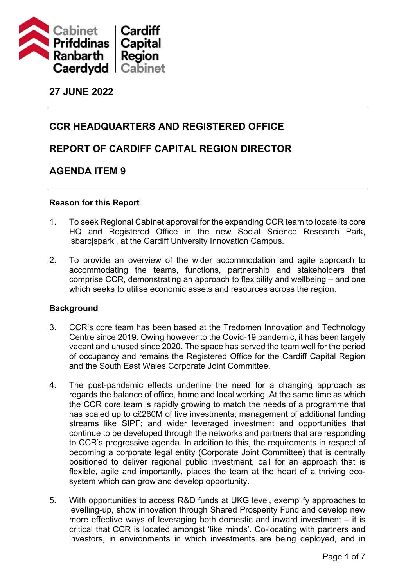

### **27 JUNE 2022**

### **CCR HEADQUARTERS AND REGISTERED OFFICE**

### **REPORT OF CARDIFF CAPITAL REGION DIRECTOR**

### **AGENDA ITEM 9**

#### **Reason for this Report**

- 1. To seek Regional Cabinet approval for the expanding CCR team to locate its core HQ and Registered Office in the new Social Science Research Park, 'sbarc|spark', at the Cardiff University Innovation Campus.
- 2. To provide an overview of the wider accommodation and agile approach to accommodating the teams, functions, partnership and stakeholders that comprise CCR, demonstrating an approach to flexibility and wellbeing – and one which seeks to utilise economic assets and resources across the region.

#### **Background**

- 3. CCR's core team has been based at the Tredomen Innovation and Technology Centre since 2019. Owing however to the Covid-19 pandemic, it has been largely vacant and unused since 2020. The space has served the team well for the period of occupancy and remains the Registered Office for the Cardiff Capital Region and the South East Wales Corporate Joint Committee.
- 4. The post-pandemic effects underline the need for a changing approach as regards the balance of office, home and local working. At the same time as which the CCR core team is rapidly growing to match the needs of a programme that has scaled up to c£260M of live investments; management of additional funding streams like SIPF; and wider leveraged investment and opportunities that continue to be developed through the networks and partners that are responding to CCR's progressive agenda. In addition to this, the requirements in respect of becoming a corporate legal entity (Corporate Joint Committee) that is centrally positioned to deliver regional public investment, call for an approach that is flexible, agile and importantly, places the team at the heart of a thriving ecosystem which can grow and develop opportunity.
- 5. With opportunities to access R&D funds at UKG level, exemplify approaches to levelling-up, show innovation through Shared Prosperity Fund and develop new more effective ways of leveraging both domestic and inward investment – it is critical that CCR is located amongst 'like minds'. Co-locating with partners and investors, in environments in which investments are being deployed, and in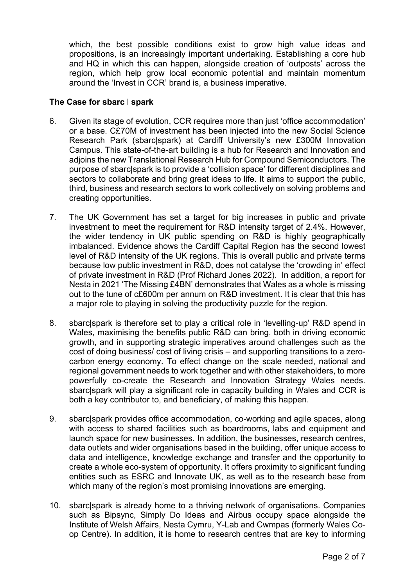which, the best possible conditions exist to grow high value ideas and propositions, is an increasingly important undertaking. Establishing a core hub and HQ in which this can happen, alongside creation of 'outposts' across the region, which help grow local economic potential and maintain momentum around the 'Invest in CCR' brand is, a business imperative.

#### **The Case for sbarc** l **spark**

- 6. Given its stage of evolution, CCR requires more than just 'office accommodation' or a base. C£70M of investment has been injected into the new Social Science Research Park (sbarc|spark) at Cardiff University's new £300M Innovation Campus. This state-of-the-art building is a hub for Research and Innovation and adjoins the new Translational Research Hub for Compound Semiconductors. The purpose of sbarc|spark is to provide a 'collision space' for different disciplines and sectors to collaborate and bring great ideas to life. It aims to support the public, third, business and research sectors to work collectively on solving problems and creating opportunities.
- 7. The UK Government has set a target for big increases in public and private investment to meet the requirement for R&D intensity target of 2.4%. However, the wider tendency in UK public spending on R&D is highly geographically imbalanced. Evidence shows the Cardiff Capital Region has the second lowest level of R&D intensity of the UK regions. This is overall public and private terms because low public investment in R&D, does not catalyse the 'crowding in' effect of private investment in R&D (Prof Richard Jones 2022). In addition, a report for Nesta in 2021 'The Missing £4BN' demonstrates that Wales as a whole is missing out to the tune of c£600m per annum on R&D investment. It is clear that this has a major role to playing in solving the productivity puzzle for the region.
- 8. sbarc|spark is therefore set to play a critical role in 'levelling-up' R&D spend in Wales, maximising the benefits public R&D can bring, both in driving economic growth, and in supporting strategic imperatives around challenges such as the cost of doing business/ cost of living crisis – and supporting transitions to a zerocarbon energy economy. To effect change on the scale needed, national and regional government needs to work together and with other stakeholders, to more powerfully co-create the Research and Innovation Strategy Wales needs. sbarc|spark will play a significant role in capacity building in Wales and CCR is both a key contributor to, and beneficiary, of making this happen.
- 9. sbarc|spark provides office accommodation, co-working and agile spaces, along with access to shared facilities such as boardrooms, labs and equipment and launch space for new businesses. In addition, the businesses, research centres, data outlets and wider organisations based in the building, offer unique access to data and intelligence, knowledge exchange and transfer and the opportunity to create a whole eco-system of opportunity. It offers proximity to significant funding entities such as ESRC and Innovate UK, as well as to the research base from which many of the region's most promising innovations are emerging.
- 10. sbarc|spark is already home to a thriving network of organisations. Companies such as Bipsync, Simply Do Ideas and Airbus occupy space alongside the Institute of Welsh Affairs, Nesta Cymru, Y-Lab and Cwmpas (formerly Wales Coop Centre). In addition, it is home to research centres that are key to informing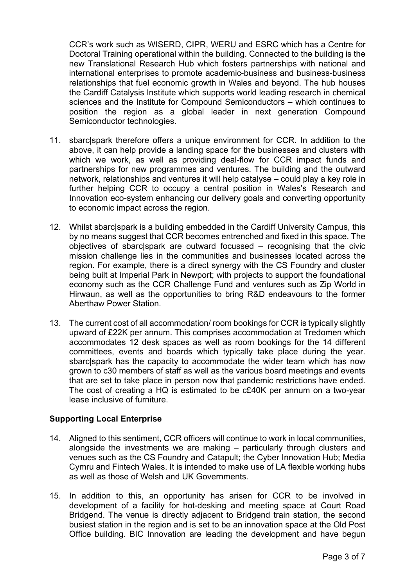CCR's work such as WISERD, CIPR, WERU and ESRC which has a Centre for Doctoral Training operational within the building. Connected to the building is the new Translational Research Hub which fosters partnerships with national and international enterprises to promote academic-business and business-business relationships that fuel economic growth in Wales and beyond. The hub houses the Cardiff Catalysis Institute which supports world leading research in chemical sciences and the Institute for Compound Semiconductors – which continues to position the region as a global leader in next generation Compound Semiconductor technologies.

- 11. sbarc|spark therefore offers a unique environment for CCR. In addition to the above, it can help provide a landing space for the businesses and clusters with which we work, as well as providing deal-flow for CCR impact funds and partnerships for new programmes and ventures. The building and the outward network, relationships and ventures it will help catalyse – could play a key role in further helping CCR to occupy a central position in Wales's Research and Innovation eco-system enhancing our delivery goals and converting opportunity to economic impact across the region.
- 12. Whilst sbarc|spark is a building embedded in the Cardiff University Campus, this by no means suggest that CCR becomes entrenched and fixed in this space. The objectives of sbarc|spark are outward focussed – recognising that the civic mission challenge lies in the communities and businesses located across the region. For example, there is a direct synergy with the CS Foundry and cluster being built at Imperial Park in Newport; with projects to support the foundational economy such as the CCR Challenge Fund and ventures such as Zip World in Hirwaun, as well as the opportunities to bring R&D endeavours to the former Aberthaw Power Station.
- 13. The current cost of all accommodation/ room bookings for CCR is typically slightly upward of £22K per annum. This comprises accommodation at Tredomen which accommodates 12 desk spaces as well as room bookings for the 14 different committees, events and boards which typically take place during the year. sbarc|spark has the capacity to accommodate the wider team which has now grown to c30 members of staff as well as the various board meetings and events that are set to take place in person now that pandemic restrictions have ended. The cost of creating a HQ is estimated to be c£40K per annum on a two-year lease inclusive of furniture.

#### **Supporting Local Enterprise**

- 14. Aligned to this sentiment, CCR officers will continue to work in local communities, alongside the investments we are making – particularly through clusters and venues such as the CS Foundry and Catapult; the Cyber Innovation Hub; Media Cymru and Fintech Wales. It is intended to make use of LA flexible working hubs as well as those of Welsh and UK Governments.
- 15. In addition to this, an opportunity has arisen for CCR to be involved in development of a facility for hot-desking and meeting space at Court Road Bridgend. The venue is directly adjacent to Bridgend train station, the second busiest station in the region and is set to be an innovation space at the Old Post Office building. BIC Innovation are leading the development and have begun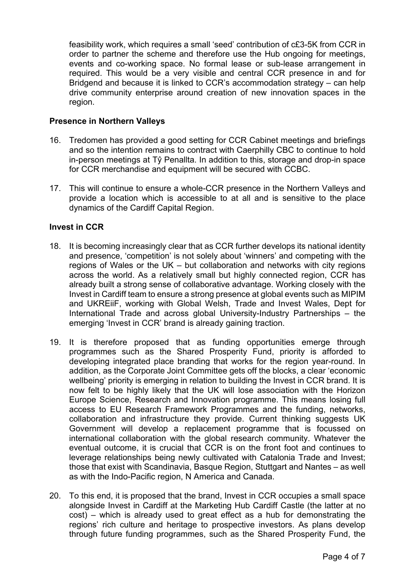feasibility work, which requires a small 'seed' contribution of c£3-5K from CCR in order to partner the scheme and therefore use the Hub ongoing for meetings, events and co-working space. No formal lease or sub-lease arrangement in required. This would be a very visible and central CCR presence in and for Bridgend and because it is linked to CCR's accommodation strategy – can help drive community enterprise around creation of new innovation spaces in the region.

#### **Presence in Northern Valleys**

- 16. Tredomen has provided a good setting for CCR Cabinet meetings and briefings and so the intention remains to contract with Caerphilly CBC to continue to hold in-person meetings at Tŷ Penallta. In addition to this, storage and drop-in space for CCR merchandise and equipment will be secured with CCBC.
- 17. This will continue to ensure a whole-CCR presence in the Northern Valleys and provide a location which is accessible to at all and is sensitive to the place dynamics of the Cardiff Capital Region.

#### **Invest in CCR**

- 18. It is becoming increasingly clear that as CCR further develops its national identity and presence, 'competition' is not solely about 'winners' and competing with the regions of Wales or the UK – but collaboration and networks with city regions across the world. As a relatively small but highly connected region, CCR has already built a strong sense of collaborative advantage. Working closely with the Invest in Cardiff team to ensure a strong presence at global events such as MIPIM and UKREiiF, working with Global Welsh, Trade and Invest Wales, Dept for International Trade and across global University-Industry Partnerships – the emerging 'Invest in CCR' brand is already gaining traction.
- 19. It is therefore proposed that as funding opportunities emerge through programmes such as the Shared Prosperity Fund, priority is afforded to developing integrated place branding that works for the region year-round. In addition, as the Corporate Joint Committee gets off the blocks, a clear 'economic wellbeing' priority is emerging in relation to building the Invest in CCR brand. It is now felt to be highly likely that the UK will lose association with the Horizon Europe Science, Research and Innovation programme. This means losing full access to EU Research Framework Programmes and the funding, networks, collaboration and infrastructure they provide. Current thinking suggests UK Government will develop a replacement programme that is focussed on international collaboration with the global research community. Whatever the eventual outcome, it is crucial that CCR is on the front foot and continues to leverage relationships being newly cultivated with Catalonia Trade and Invest; those that exist with Scandinavia, Basque Region, Stuttgart and Nantes – as well as with the Indo-Pacific region, N America and Canada.
- 20. To this end, it is proposed that the brand, Invest in CCR occupies a small space alongside Invest in Cardiff at the Marketing Hub Cardiff Castle (the latter at no cost) – which is already used to great effect as a hub for demonstrating the regions' rich culture and heritage to prospective investors. As plans develop through future funding programmes, such as the Shared Prosperity Fund, the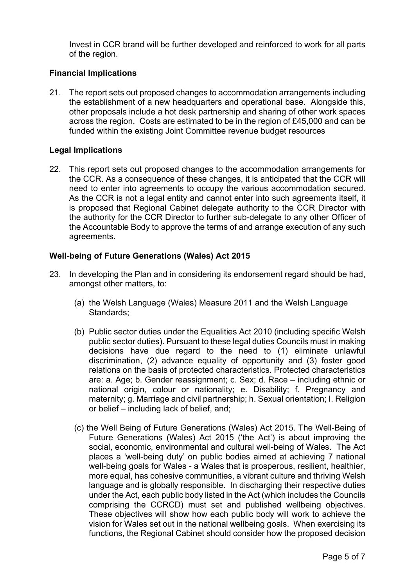Invest in CCR brand will be further developed and reinforced to work for all parts of the region.

#### **Financial Implications**

21. The report sets out proposed changes to accommodation arrangements including the establishment of a new headquarters and operational base. Alongside this, other proposals include a hot desk partnership and sharing of other work spaces across the region. Costs are estimated to be in the region of £45,000 and can be funded within the existing Joint Committee revenue budget resources

#### **Legal Implications**

22. This report sets out proposed changes to the accommodation arrangements for the CCR. As a consequence of these changes, it is anticipated that the CCR will need to enter into agreements to occupy the various accommodation secured. As the CCR is not a legal entity and cannot enter into such agreements itself, it is proposed that Regional Cabinet delegate authority to the CCR Director with the authority for the CCR Director to further sub-delegate to any other Officer of the Accountable Body to approve the terms of and arrange execution of any such agreements.

#### **Well-being of Future Generations (Wales) Act 2015**

- 23. In developing the Plan and in considering its endorsement regard should be had, amongst other matters, to:
	- (a) the Welsh Language (Wales) Measure 2011 and the Welsh Language Standards;
	- (b) Public sector duties under the Equalities Act 2010 (including specific Welsh public sector duties). Pursuant to these legal duties Councils must in making decisions have due regard to the need to (1) eliminate unlawful discrimination, (2) advance equality of opportunity and (3) foster good relations on the basis of protected characteristics. Protected characteristics are: a. Age; b. Gender reassignment; c. Sex; d. Race – including ethnic or national origin, colour or nationality; e. Disability; f. Pregnancy and maternity; g. Marriage and civil partnership; h. Sexual orientation; I. Religion or belief – including lack of belief, and;
	- (c) the Well Being of Future Generations (Wales) Act 2015. The Well-Being of Future Generations (Wales) Act 2015 ('the Act') is about improving the social, economic, environmental and cultural well-being of Wales. The Act places a 'well-being duty' on public bodies aimed at achieving 7 national well-being goals for Wales - a Wales that is prosperous, resilient, healthier, more equal, has cohesive communities, a vibrant culture and thriving Welsh language and is globally responsible. In discharging their respective duties under the Act, each public body listed in the Act (which includes the Councils comprising the CCRCD) must set and published wellbeing objectives. These objectives will show how each public body will work to achieve the vision for Wales set out in the national wellbeing goals. When exercising its functions, the Regional Cabinet should consider how the proposed decision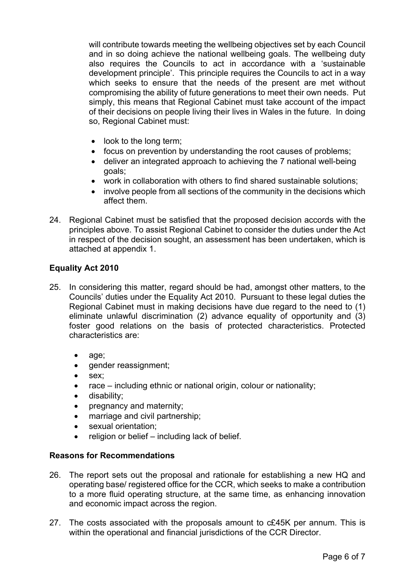will contribute towards meeting the wellbeing objectives set by each Council and in so doing achieve the national wellbeing goals. The wellbeing duty also requires the Councils to act in accordance with a 'sustainable development principle'. This principle requires the Councils to act in a way which seeks to ensure that the needs of the present are met without compromising the ability of future generations to meet their own needs. Put simply, this means that Regional Cabinet must take account of the impact of their decisions on people living their lives in Wales in the future. In doing so, Regional Cabinet must:

- look to the long term;
- focus on prevention by understanding the root causes of problems;
- deliver an integrated approach to achieving the 7 national well-being goals;
- work in collaboration with others to find shared sustainable solutions;
- involve people from all sections of the community in the decisions which affect them.
- 24. Regional Cabinet must be satisfied that the proposed decision accords with the principles above. To assist Regional Cabinet to consider the duties under the Act in respect of the decision sought, an assessment has been undertaken, which is attached at appendix 1.

#### **Equality Act 2010**

- 25. In considering this matter, regard should be had, amongst other matters, to the Councils' duties under the Equality Act 2010. Pursuant to these legal duties the Regional Cabinet must in making decisions have due regard to the need to (1) eliminate unlawful discrimination (2) advance equality of opportunity and  $(3)$ foster good relations on the basis of protected characteristics. Protected characteristics are:
	- age:
	- gender reassignment;
	- sex;
	- race including ethnic or national origin, colour or nationality;
	- disability;
	- pregnancy and maternity;
	- marriage and civil partnership;
	- sexual orientation;
	- religion or belief including lack of belief.

#### **Reasons for Recommendations**

- 26. The report sets out the proposal and rationale for establishing a new HQ and operating base/ registered office for the CCR, which seeks to make a contribution to a more fluid operating structure, at the same time, as enhancing innovation and economic impact across the region.
- 27. The costs associated with the proposals amount to c£45K per annum. This is within the operational and financial jurisdictions of the CCR Director.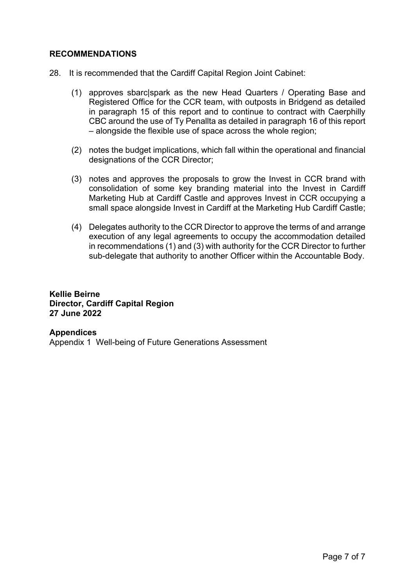#### **RECOMMENDATIONS**

- 28. It is recommended that the Cardiff Capital Region Joint Cabinet:
	- (1) approves sbarc|spark as the new Head Quarters / Operating Base and Registered Office for the CCR team, with outposts in Bridgend as detailed in paragraph 15 of this report and to continue to contract with Caerphilly CBC around the use of Ty Penallta as detailed in paragraph 16 of this report – alongside the flexible use of space across the whole region;
	- (2) notes the budget implications, which fall within the operational and financial designations of the CCR Director;
	- (3) notes and approves the proposals to grow the Invest in CCR brand with consolidation of some key branding material into the Invest in Cardiff Marketing Hub at Cardiff Castle and approves Invest in CCR occupying a small space alongside Invest in Cardiff at the Marketing Hub Cardiff Castle;
	- (4) Delegates authority to the CCR Director to approve the terms of and arrange execution of any legal agreements to occupy the accommodation detailed in recommendations (1) and (3) with authority for the CCR Director to further sub-delegate that authority to another Officer within the Accountable Body.

**Kellie Beirne Director, Cardiff Capital Region 27 June 2022**

**Appendices** Appendix 1 Well-being of Future Generations Assessment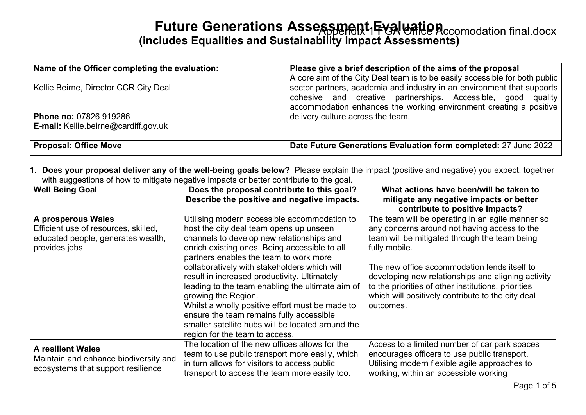# **Future Generations Assessment Evaluation** ccomodation final.docx **(includes Equalities and Sustainability Impact Assessments)**

| Name of the Officer completing the evaluation:                               | Please give a brief description of the aims of the proposal<br>A core aim of the City Deal team is to be easily accessible for both public                                                                   |
|------------------------------------------------------------------------------|--------------------------------------------------------------------------------------------------------------------------------------------------------------------------------------------------------------|
| Kellie Beirne, Director CCR City Deal                                        | sector partners, academia and industry in an environment that supports<br>cohesive and creative partnerships. Accessible, good quality<br>accommodation enhances the working environment creating a positive |
| <b>Phone no: 07826 919286</b><br><b>E-mail: Kellie.beirne@cardiff.gov.uk</b> | delivery culture across the team.                                                                                                                                                                            |
| <b>Proposal: Office Move</b>                                                 | Date Future Generations Evaluation form completed: 27 June 2022                                                                                                                                              |

**1. Does your proposal deliver any of the well-being goals below?** Please explain the impact (positive and negative) you expect, together with suggestions of how to mitigate negative impacts or better contribute to the goal.

| <b>Well Being Goal</b>                                                                                            | Does the proposal contribute to this goal?<br>Describe the positive and negative impacts.                                                                                                                                                                                                                                                                                                                                                                                                                                                                                                        | What actions have been/will be taken to<br>mitigate any negative impacts or better<br>contribute to positive impacts?                                                                                                                                                                                                                                                                             |
|-------------------------------------------------------------------------------------------------------------------|--------------------------------------------------------------------------------------------------------------------------------------------------------------------------------------------------------------------------------------------------------------------------------------------------------------------------------------------------------------------------------------------------------------------------------------------------------------------------------------------------------------------------------------------------------------------------------------------------|---------------------------------------------------------------------------------------------------------------------------------------------------------------------------------------------------------------------------------------------------------------------------------------------------------------------------------------------------------------------------------------------------|
| A prosperous Wales<br>Efficient use of resources, skilled,<br>educated people, generates wealth,<br>provides jobs | Utilising modern accessible accommodation to<br>host the city deal team opens up unseen<br>channels to develop new relationships and<br>enrich existing ones. Being accessible to all<br>partners enables the team to work more<br>collaboratively with stakeholders which will<br>result in increased productivity. Ultimately<br>leading to the team enabling the ultimate aim of<br>growing the Region.<br>Whilst a wholly positive effort must be made to<br>ensure the team remains fully accessible<br>smaller satellite hubs will be located around the<br>region for the team to access. | The team will be operating in an agile manner so<br>any concerns around not having access to the<br>team will be mitigated through the team being<br>fully mobile.<br>The new office accommodation lends itself to<br>developing new relationships and aligning activity<br>to the priorities of other institutions, priorities<br>which will positively contribute to the city deal<br>outcomes. |
| <b>A resilient Wales</b><br>Maintain and enhance biodiversity and<br>ecosystems that support resilience           | The location of the new offices allows for the<br>team to use public transport more easily, which<br>in turn allows for visitors to access public<br>transport to access the team more easily too.                                                                                                                                                                                                                                                                                                                                                                                               | Access to a limited number of car park spaces<br>encourages officers to use public transport.<br>Utilising modern flexible agile approaches to<br>working, within an accessible working                                                                                                                                                                                                           |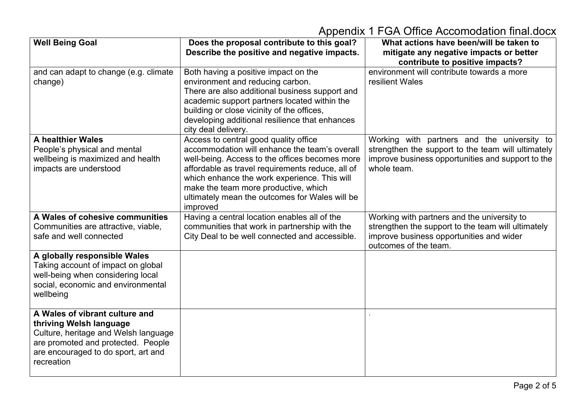| <b>Well Being Goal</b>                                                                                                                                                                       | Does the proposal contribute to this goal?<br>Describe the positive and negative impacts.                                                                                                                                                                                                                                                          | What actions have been/will be taken to<br>mitigate any negative impacts or better<br>contribute to positive impacts?                                                  |
|----------------------------------------------------------------------------------------------------------------------------------------------------------------------------------------------|----------------------------------------------------------------------------------------------------------------------------------------------------------------------------------------------------------------------------------------------------------------------------------------------------------------------------------------------------|------------------------------------------------------------------------------------------------------------------------------------------------------------------------|
| and can adapt to change (e.g. climate<br>change)                                                                                                                                             | Both having a positive impact on the<br>environment and reducing carbon.<br>There are also additional business support and<br>academic support partners located within the<br>building or close vicinity of the offices,<br>developing additional resilience that enhances<br>city deal delivery.                                                  | environment will contribute towards a more<br>resilient Wales                                                                                                          |
| A healthier Wales<br>People's physical and mental<br>wellbeing is maximized and health<br>impacts are understood                                                                             | Access to central good quality office<br>accommodation will enhance the team's overall<br>well-being. Access to the offices becomes more<br>affordable as travel requirements reduce, all of<br>which enhance the work experience. This will<br>make the team more productive, which<br>ultimately mean the outcomes for Wales will be<br>improved | Working with partners and the university to<br>strengthen the support to the team will ultimately<br>improve business opportunities and support to the<br>whole team.  |
| A Wales of cohesive communities<br>Communities are attractive, viable,<br>safe and well connected                                                                                            | Having a central location enables all of the<br>communities that work in partnership with the<br>City Deal to be well connected and accessible.                                                                                                                                                                                                    | Working with partners and the university to<br>strengthen the support to the team will ultimately<br>improve business opportunities and wider<br>outcomes of the team. |
| A globally responsible Wales<br>Taking account of impact on global<br>well-being when considering local<br>social, economic and environmental<br>wellbeing                                   |                                                                                                                                                                                                                                                                                                                                                    |                                                                                                                                                                        |
| A Wales of vibrant culture and<br>thriving Welsh language<br>Culture, heritage and Welsh language<br>are promoted and protected. People<br>are encouraged to do sport, art and<br>recreation |                                                                                                                                                                                                                                                                                                                                                    |                                                                                                                                                                        |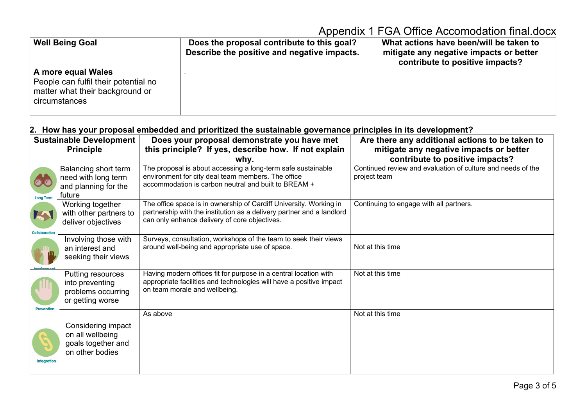| <b>Well Being Goal</b>                                                                                         | Does the proposal contribute to this goal?<br>Describe the positive and negative impacts. | What actions have been/will be taken to<br>mitigate any negative impacts or better<br>contribute to positive impacts? |
|----------------------------------------------------------------------------------------------------------------|-------------------------------------------------------------------------------------------|-----------------------------------------------------------------------------------------------------------------------|
| A more equal Wales<br>People can fulfil their potential no<br>matter what their background or<br>circumstances |                                                                                           |                                                                                                                       |

#### **2. How has your proposal embedded and prioritized the sustainable governance principles in its development?**

|                               | <b>Sustainable Development</b>                                                  | Does your proposal demonstrate you have met                                                                                                                                                  | Are there any additional actions to be taken to                             |
|-------------------------------|---------------------------------------------------------------------------------|----------------------------------------------------------------------------------------------------------------------------------------------------------------------------------------------|-----------------------------------------------------------------------------|
|                               | <b>Principle</b>                                                                | this principle? If yes, describe how. If not explain                                                                                                                                         | mitigate any negative impacts or better                                     |
|                               |                                                                                 | whv.                                                                                                                                                                                         | contribute to positive impacts?                                             |
| <b>Long Term</b>              | Balancing short term<br>need with long term<br>and planning for the<br>future   | The proposal is about accessing a long-term safe sustainable<br>environment for city deal team members. The office<br>accommodation is carbon neutral and built to BREAM +                   | Continued review and evaluation of culture and needs of the<br>project team |
| <b>Table</b><br>Collaboration | Working together<br>with other partners to<br>deliver objectives                | The office space is in ownership of Cardiff University. Working in<br>partnership with the institution as a delivery partner and a landlord<br>can only enhance delivery of core objectives. | Continuing to engage with all partners.                                     |
|                               | Involving those with<br>an interest and<br>seeking their views                  | Surveys, consultation, workshops of the team to seek their views<br>around well-being and appropriate use of space.                                                                          | Not at this time                                                            |
|                               | Putting resources<br>into preventing<br>problems occurring<br>or getting worse  | Having modern offices fit for purpose in a central location with<br>appropriate facilities and technologies will have a positive impact<br>on team morale and wellbeing.                     | Not at this time                                                            |
| <b>Integration</b>            | Considering impact<br>on all wellbeing<br>goals together and<br>on other bodies | As above                                                                                                                                                                                     | Not at this time                                                            |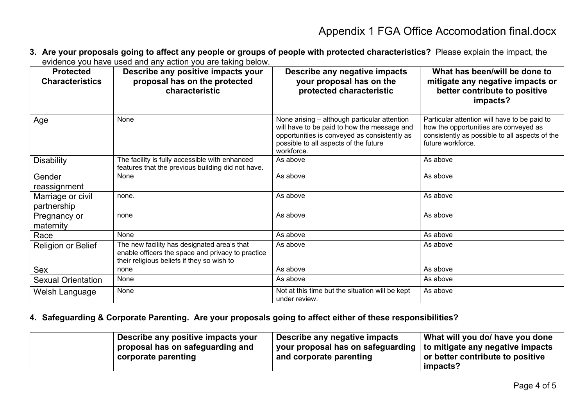**3. Are your proposals going to affect any people or groups of people with protected characteristics?** Please explain the impact, the evidence you have used and any action you are taking below.

| <b>Protected</b><br><b>Characteristics</b> | Describe any positive impacts your<br>proposal has on the protected<br>characteristic                                                          | Describe any negative impacts<br>your proposal has on the<br>protected characteristic                                                                                                              | What has been/will be done to<br>mitigate any negative impacts or<br>better contribute to positive<br>impacts?                                               |
|--------------------------------------------|------------------------------------------------------------------------------------------------------------------------------------------------|----------------------------------------------------------------------------------------------------------------------------------------------------------------------------------------------------|--------------------------------------------------------------------------------------------------------------------------------------------------------------|
| Age                                        | None                                                                                                                                           | None arising – although particular attention<br>will have to be paid to how the message and<br>opportunities is conveyed as consistently as<br>possible to all aspects of the future<br>workforce. | Particular attention will have to be paid to<br>how the opportunities are conveyed as<br>consistently as possible to all aspects of the<br>future workforce. |
| <b>Disability</b>                          | The facility is fully accessible with enhanced<br>features that the previous building did not have.                                            | As above                                                                                                                                                                                           | As above                                                                                                                                                     |
| Gender<br>reassignment                     | None                                                                                                                                           | As above                                                                                                                                                                                           | As above                                                                                                                                                     |
| Marriage or civil<br>partnership           | none.                                                                                                                                          | As above                                                                                                                                                                                           | As above                                                                                                                                                     |
| Pregnancy or<br>maternity                  | none                                                                                                                                           | As above                                                                                                                                                                                           | As above                                                                                                                                                     |
| Race                                       | None                                                                                                                                           | As above                                                                                                                                                                                           | As above                                                                                                                                                     |
| Religion or Belief                         | The new facility has designated area's that<br>enable officers the space and privacy to practice<br>their religious beliefs if they so wish to | As above                                                                                                                                                                                           | As above                                                                                                                                                     |
| Sex                                        | none                                                                                                                                           | As above                                                                                                                                                                                           | As above                                                                                                                                                     |
| <b>Sexual Orientation</b>                  | None                                                                                                                                           | As above                                                                                                                                                                                           | As above                                                                                                                                                     |
| Welsh Language                             | None                                                                                                                                           | Not at this time but the situation will be kept<br>under review.                                                                                                                                   | As above                                                                                                                                                     |

#### **4. Safeguarding & Corporate Parenting. Are your proposals going to affect either of these responsibilities?**

| Describe any positive impacts your | Describe any negative impacts                                              | What will you do/ have you done         |
|------------------------------------|----------------------------------------------------------------------------|-----------------------------------------|
| proposal has on safeguarding and   | your proposal has on safeguarding $\vert$ to mitigate any negative impacts |                                         |
| corporate parenting                | and corporate parenting                                                    | $\mid$ or better contribute to positive |
|                                    |                                                                            | impacts?                                |